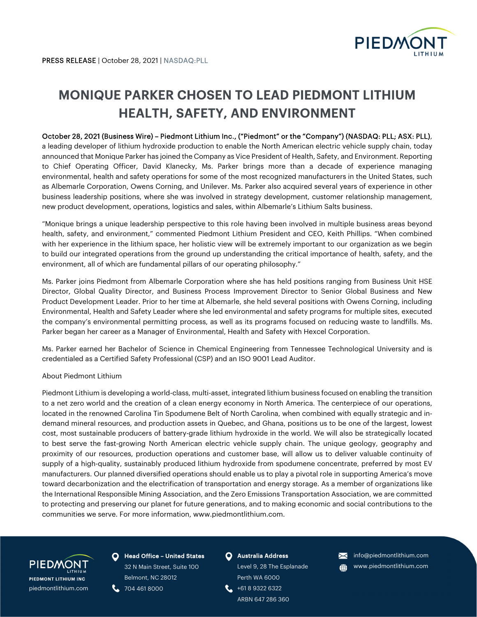

# MONIQUE PARKER CHOSEN TO LEAD PIEDMONT LITHIUM HEALTH, SAFETY, AND ENVIRONMENT

## October 28, 2021 (Business Wire) – Piedmont Lithium Inc., ("Piedmont" or the "Company") (NASDAQ: PLL; ASX: PLL),

a leading developer of lithium hydroxide production to enable the North American electric vehicle supply chain, today announced that Monique Parker has joined the Company as Vice President of Health, Safety, and Environment. Reporting to Chief Operating Officer, David Klanecky, Ms. Parker brings more than a decade of experience managing environmental, health and safety operations for some of the most recognized manufacturers in the United States, such as Albemarle Corporation, Owens Corning, and Unilever. Ms. Parker also acquired several years of experience in other business leadership positions, where she was involved in strategy development, customer relationship management, new product development, operations, logistics and sales, within Albemarle's Lithium Salts business.

"Monique brings a unique leadership perspective to this role having been involved in multiple business areas beyond health, safety, and environment," commented Piedmont Lithium President and CEO, Keith Phillips. "When combined with her experience in the lithium space, her holistic view will be extremely important to our organization as we begin to build our integrated operations from the ground up understanding the critical importance of health, safety, and the environment, all of which are fundamental pillars of our operating philosophy."

Ms. Parker joins Piedmont from Albemarle Corporation where she has held positions ranging from Business Unit HSE Director, Global Quality Director, and Business Process Improvement Director to Senior Global Business and New Product Development Leader. Prior to her time at Albemarle, she held several positions with Owens Corning, including Environmental, Health and Safety Leader where she led environmental and safety programs for multiple sites, executed the company's environmental permitting process, as well as its programs focused on reducing waste to landfills. Ms. Parker began her career as a Manager of Environmental, Health and Safety with Hexcel Corporation.

Ms. Parker earned her Bachelor of Science in Chemical Engineering from Tennessee Technological University and is credentialed as a Certified Safety Professional (CSP) and an ISO 9001 Lead Auditor.

### About Piedmont Lithium

Piedmont Lithium is developing a world-class, multi-asset, integrated lithium business focused on enabling the transition to a net zero world and the creation of a clean energy economy in North America. The centerpiece of our operations, located in the renowned Carolina Tin Spodumene Belt of North Carolina, when combined with equally strategic and indemand mineral resources, and production assets in Quebec, and Ghana, positions us to be one of the largest, lowest cost, most sustainable producers of battery-grade lithium hydroxide in the world. We will also be strategically located to best serve the fast-growing North American electric vehicle supply chain. The unique geology, geography and proximity of our resources, production operations and customer base, will allow us to deliver valuable continuity of supply of a high-quality, sustainably produced lithium hydroxide from spodumene concentrate, preferred by most EV manufacturers. Our planned diversified operations should enable us to play a pivotal role in supporting America's move toward decarbonization and the electrification of transportation and energy storage. As a member of organizations like the International Responsible Mining Association, and the Zero Emissions Transportation Association, we are committed to protecting and preserving our planet for future generations, and to making economic and social contributions to the communities we serve. For more information, www.piedmontlithium.com.



**O** Head Office - United States 32 N Main Street, Suite 100 Belmont, NC 28012

**t.** 704 461 8000

### **O** Australia Address

Level 9, 28 The Esplanade Perth WA 6000 +61 8 9322 6322

ARBN 647 286 360

- **X** info@piedmontlithium.com
- **(iii)** www.piedmontlithium.com